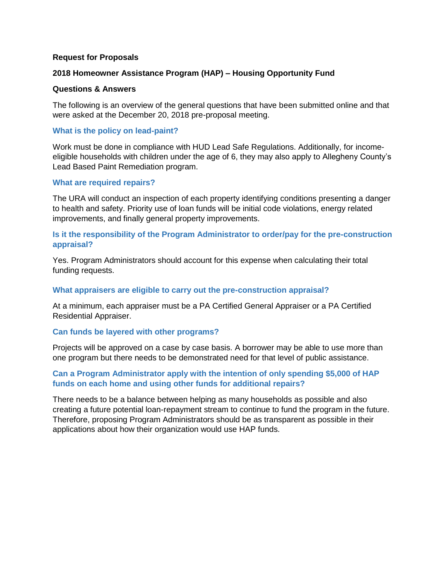### **Request for Proposals**

### **2018 Homeowner Assistance Program (HAP) – Housing Opportunity Fund**

#### **Questions & Answers**

The following is an overview of the general questions that have been submitted online and that were asked at the December 20, 2018 pre-proposal meeting.

## **What is the policy on lead-paint?**

Work must be done in compliance with HUD Lead Safe Regulations. Additionally, for incomeeligible households with children under the age of 6, they may also apply to Allegheny County's Lead Based Paint Remediation program.

### **What are required repairs?**

The URA will conduct an inspection of each property identifying conditions presenting a danger to health and safety. Priority use of loan funds will be initial code violations, energy related improvements, and finally general property improvements.

# **Is it the responsibility of the Program Administrator to order/pay for the pre-construction appraisal?**

Yes. Program Administrators should account for this expense when calculating their total funding requests.

### **What appraisers are eligible to carry out the pre-construction appraisal?**

At a minimum, each appraiser must be a PA Certified General Appraiser or a PA Certified Residential Appraiser.

### **Can funds be layered with other programs?**

Projects will be approved on a case by case basis. A borrower may be able to use more than one program but there needs to be demonstrated need for that level of public assistance.

# **Can a Program Administrator apply with the intention of only spending \$5,000 of HAP funds on each home and using other funds for additional repairs?**

There needs to be a balance between helping as many households as possible and also creating a future potential loan-repayment stream to continue to fund the program in the future. Therefore, proposing Program Administrators should be as transparent as possible in their applications about how their organization would use HAP funds.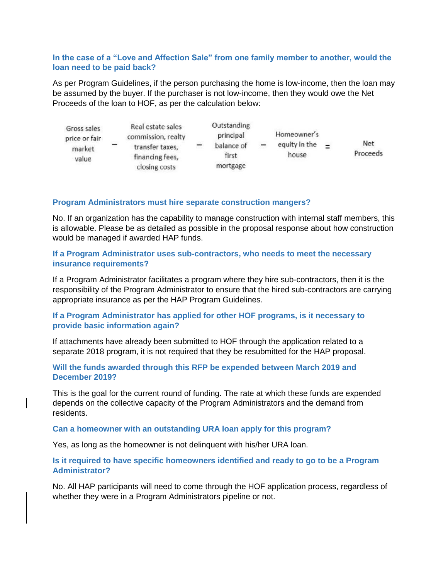# **In the case of a "Love and Affection Sale" from one family member to another, would the loan need to be paid back?**

As per Program Guidelines, if the person purchasing the home is low-income, then the loan may be assumed by the buyer. If the purchaser is not low-income, then they would owe the Net Proceeds of the loan to HOF, as per the calculation below:

| Gross sales<br>price or fair<br>market<br>value | Real estate sales<br>commission, realty<br>transfer taxes,<br>financing fees, | - | Outstanding<br>principal<br>balance of<br>first | - | Homeowner's<br>equity in the<br>house | - | <b>Net</b><br>Proceeds |
|-------------------------------------------------|-------------------------------------------------------------------------------|---|-------------------------------------------------|---|---------------------------------------|---|------------------------|
|                                                 | closing costs                                                                 |   | mortgage                                        |   |                                       |   |                        |

### **Program Administrators must hire separate construction mangers?**

No. If an organization has the capability to manage construction with internal staff members, this is allowable. Please be as detailed as possible in the proposal response about how construction would be managed if awarded HAP funds.

# **If a Program Administrator uses sub-contractors, who needs to meet the necessary insurance requirements?**

If a Program Administrator facilitates a program where they hire sub-contractors, then it is the responsibility of the Program Administrator to ensure that the hired sub-contractors are carrying appropriate insurance as per the HAP Program Guidelines.

# **If a Program Administrator has applied for other HOF programs, is it necessary to provide basic information again?**

If attachments have already been submitted to HOF through the application related to a separate 2018 program, it is not required that they be resubmitted for the HAP proposal.

# **Will the funds awarded through this RFP be expended between March 2019 and December 2019?**

This is the goal for the current round of funding. The rate at which these funds are expended depends on the collective capacity of the Program Administrators and the demand from residents.

### **Can a homeowner with an outstanding URA loan apply for this program?**

Yes, as long as the homeowner is not delinquent with his/her URA loan.

# **Is it required to have specific homeowners identified and ready to go to be a Program Administrator?**

No. All HAP participants will need to come through the HOF application process, regardless of whether they were in a Program Administrators pipeline or not.